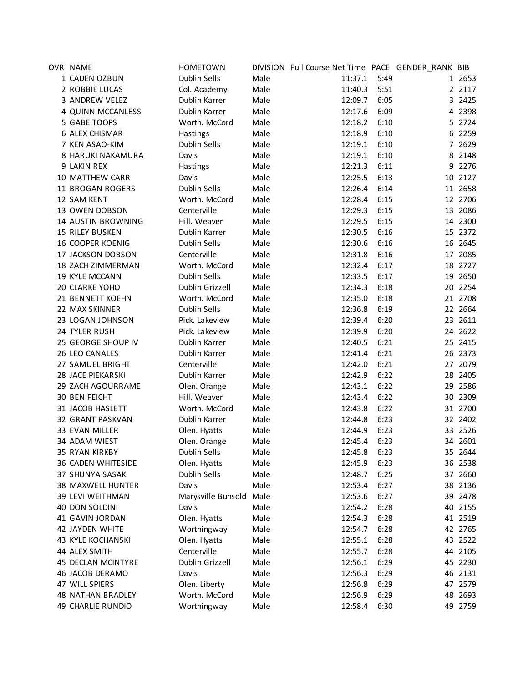| OVR NAME               | <b>HOMETOWN</b>              |      | DIVISION Full Course Net Time PACE GENDER_RANK BIB |      |   |           |
|------------------------|------------------------------|------|----------------------------------------------------|------|---|-----------|
| 1 CADEN OZBUN          | Dublin Sells                 | Male | 11:37.1                                            | 5:49 |   | 1 2653    |
| 2 ROBBIE LUCAS         | Col. Academy                 | Male | 11:40.3                                            | 5:51 |   | 2 2 1 1 7 |
| 3 ANDREW VELEZ         | Dublin Karrer                | Male | 12:09.7                                            | 6:05 |   | 3 2425    |
| 4 QUINN MCCANLESS      | Dublin Karrer                | Male | 12:17.6                                            | 6:09 |   | 4 2398    |
| 5 GABE TOOPS           | Worth. McCord                | Male | 12:18.2                                            | 6:10 |   | 5 2724    |
| 6 ALEX CHISMAR         | Hastings                     | Male | 12:18.9                                            | 6:10 |   | 6 2259    |
| 7 KEN ASAO-KIM         | Dublin Sells                 | Male | 12:19.1                                            | 6:10 |   | 7 2629    |
| 8 HARUKI NAKAMURA      | Davis                        | Male | 12:19.1                                            | 6:10 | 8 | 2148      |
| 9 LAKIN REX            | Hastings                     | Male | 12:21.3                                            | 6:11 |   | 9 2276    |
| 10 MATTHEW CARR        | Davis                        | Male | 12:25.5                                            | 6:13 |   | 10 2127   |
| 11 BROGAN ROGERS       | <b>Dublin Sells</b>          | Male | 12:26.4                                            | 6:14 |   | 11 2658   |
| 12 SAM KENT            | Worth. McCord                | Male | 12:28.4                                            | 6:15 |   | 12 2706   |
| 13 OWEN DOBSON         | Centerville                  | Male | 12:29.3                                            | 6:15 |   | 13 2086   |
| 14 AUSTIN BROWNING     | Hill. Weaver                 | Male | 12:29.5                                            | 6:15 |   | 14 2300   |
| <b>15 RILEY BUSKEN</b> | Dublin Karrer                | Male | 12:30.5                                            | 6:16 |   | 15 2372   |
| 16 COOPER KOENIG       | Dublin Sells                 | Male | 12:30.6                                            | 6:16 |   | 16 2645   |
| 17 JACKSON DOBSON      | Centerville                  | Male | 12:31.8                                            | 6:16 |   | 17 2085   |
| 18 ZACH ZIMMERMAN      | Worth. McCord                | Male | 12:32.4                                            | 6:17 |   | 18 2727   |
| 19 KYLE MCCANN         | Dublin Sells                 | Male | 12:33.5                                            | 6:17 |   | 19 2650   |
| 20 CLARKE YOHO         | Dublin Grizzell              | Male | 12:34.3                                            | 6:18 |   | 20 2254   |
| 21 BENNETT KOEHN       | Worth. McCord                | Male | 12:35.0                                            | 6:18 |   | 21 2708   |
| 22 MAX SKINNER         | Dublin Sells                 | Male | 12:36.8                                            | 6:19 |   | 22 2664   |
| 23 LOGAN JOHNSON       | Pick. Lakeview               | Male | 12:39.4                                            | 6:20 |   | 23 2611   |
| 24 TYLER RUSH          | Pick. Lakeview               | Male | 12:39.9                                            | 6:20 |   | 24 2622   |
| 25 GEORGE SHOUP IV     | Dublin Karrer                | Male | 12:40.5                                            | 6:21 |   | 25 2415   |
| 26 LEO CANALES         | Dublin Karrer                | Male | 12:41.4                                            | 6:21 |   | 26 2373   |
| 27 SAMUEL BRIGHT       | Centerville                  | Male | 12:42.0                                            | 6:21 |   | 27 2079   |
| 28 JACE PIEKARSKI      | Dublin Karrer                | Male | 12:42.9                                            | 6:22 |   | 28 2405   |
| 29 ZACH AGOURRAME      |                              | Male | 12:43.1                                            | 6:22 |   | 29 2586   |
| 30 BEN FEICHT          | Olen. Orange<br>Hill. Weaver | Male | 12:43.4                                            | 6:22 |   | 30 2309   |
| 31 JACOB HASLETT       | Worth. McCord                | Male | 12:43.8                                            | 6:22 |   | 31 2700   |
|                        |                              |      |                                                    |      |   |           |
| 32 GRANT PASKVAN       | Dublin Karrer                | Male | 12:44.8                                            | 6:23 |   | 32 2402   |
| 33 EVAN MILLER         | Olen. Hyatts                 | Male | 12:44.9                                            | 6:23 |   | 33 2526   |
| 34 ADAM WIEST          | Olen. Orange                 | Male | 12:45.4                                            | 6:23 |   | 34 2601   |
| 35 RYAN KIRKBY         | Dublin Sells                 | Male | 12:45.8                                            | 6:23 |   | 35 2644   |
| 36 CADEN WHITESIDE     | Olen. Hyatts                 | Male | 12:45.9                                            | 6:23 |   | 36 2538   |
| 37 SHUNYA SASAKI       | Dublin Sells                 | Male | 12:48.7                                            | 6:25 |   | 37 2660   |
| 38 MAXWELL HUNTER      | Davis                        | Male | 12:53.4                                            | 6:27 |   | 38 2136   |
| 39 LEVI WEITHMAN       | Marysville Bunsold           | Male | 12:53.6                                            | 6:27 |   | 39 2478   |
| 40 DON SOLDINI         | Davis                        | Male | 12:54.2                                            | 6:28 |   | 40 2155   |
| 41 GAVIN JORDAN        | Olen. Hyatts                 | Male | 12:54.3                                            | 6:28 |   | 41 2519   |
| 42 JAYDEN WHITE        | Worthingway                  | Male | 12:54.7                                            | 6:28 |   | 42 2765   |
| 43 KYLE KOCHANSKI      | Olen. Hyatts                 | Male | 12:55.1                                            | 6:28 |   | 43 2522   |
| 44 ALEX SMITH          | Centerville                  | Male | 12:55.7                                            | 6:28 |   | 44 2105   |
| 45 DECLAN MCINTYRE     | Dublin Grizzell              | Male | 12:56.1                                            | 6:29 |   | 45 2230   |
| 46 JACOB DERAMO        | Davis                        | Male | 12:56.3                                            | 6:29 |   | 46 2131   |
| 47 WILL SPIERS         | Olen. Liberty                | Male | 12:56.8                                            | 6:29 |   | 47 2579   |
| 48 NATHAN BRADLEY      | Worth. McCord                | Male | 12:56.9                                            | 6:29 |   | 48 2693   |
| 49 CHARLIE RUNDIO      | Worthingway                  | Male | 12:58.4                                            | 6:30 |   | 49 2759   |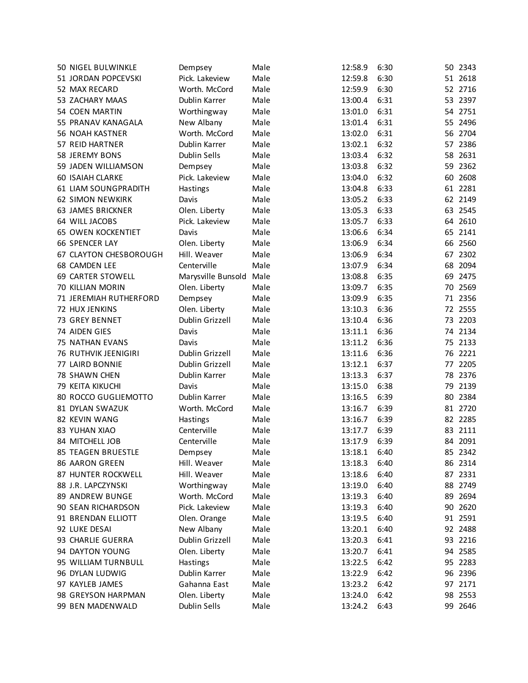| 50 NIGEL BULWINKLE        | Dempsey            | Male | 12:58.9 | 6:30 |    | 50 2343 |
|---------------------------|--------------------|------|---------|------|----|---------|
| 51 JORDAN POPCEVSKI       | Pick. Lakeview     | Male | 12:59.8 | 6:30 |    | 51 2618 |
| 52 MAX RECARD             | Worth. McCord      | Male | 12:59.9 | 6:30 |    | 52 2716 |
| 53 ZACHARY MAAS           | Dublin Karrer      | Male | 13:00.4 | 6:31 |    | 53 2397 |
| 54 COEN MARTIN            | Worthingway        | Male | 13:01.0 | 6:31 |    | 54 2751 |
| 55 PRANAV KANAGALA        | New Albany         | Male | 13:01.4 | 6:31 |    | 55 2496 |
| 56 NOAH KASTNER           | Worth. McCord      | Male | 13:02.0 | 6:31 |    | 56 2704 |
| 57 REID HARTNER           | Dublin Karrer      | Male | 13:02.1 | 6:32 | 57 | 2386    |
| 58 JEREMY BONS            | Dublin Sells       | Male | 13:03.4 | 6:32 | 58 | 2631    |
| 59 JADEN WILLIAMSON       | Dempsey            | Male | 13:03.8 | 6:32 | 59 | 2362    |
| <b>60 ISAIAH CLARKE</b>   | Pick. Lakeview     | Male | 13:04.0 | 6:32 |    | 60 2608 |
| 61 LIAM SOUNGPRADITH      | Hastings           | Male | 13:04.8 | 6:33 |    | 61 2281 |
| 62 SIMON NEWKIRK          | Davis              | Male | 13:05.2 | 6:33 |    | 62 2149 |
| 63 JAMES BRICKNER         | Olen. Liberty      | Male | 13:05.3 | 6:33 |    | 63 2545 |
| 64 WILL JACOBS            | Pick. Lakeview     | Male | 13:05.7 | 6:33 |    | 64 2610 |
| <b>65 OWEN KOCKENTIET</b> | Davis              | Male | 13:06.6 | 6:34 |    | 65 2141 |
| 66 SPENCER LAY            | Olen. Liberty      | Male | 13:06.9 | 6:34 |    | 66 2560 |
| 67 CLAYTON CHESBOROUGH    | Hill. Weaver       | Male | 13:06.9 | 6:34 |    | 67 2302 |
| 68 CAMDEN LEE             | Centerville        | Male | 13:07.9 | 6:34 |    | 68 2094 |
| 69 CARTER STOWELL         | Marysville Bunsold | Male | 13:08.8 | 6:35 |    | 69 2475 |
| 70 KILLIAN MORIN          | Olen. Liberty      | Male | 13:09.7 | 6:35 |    | 70 2569 |
| 71 JEREMIAH RUTHERFORD    | Dempsey            | Male | 13:09.9 | 6:35 |    | 71 2356 |
| 72 HUX JENKINS            | Olen. Liberty      | Male | 13:10.3 | 6:36 |    | 72 2555 |
| 73 GREY BENNET            | Dublin Grizzell    | Male | 13:10.4 | 6:36 |    | 73 2203 |
| 74 AIDEN GIES             | Davis              | Male | 13:11.1 | 6:36 |    | 74 2134 |
| 75 NATHAN EVANS           | Davis              | Male | 13:11.2 | 6:36 |    | 75 2133 |
| 76 RUTHVIK JEENIGIRI      | Dublin Grizzell    | Male | 13:11.6 | 6:36 |    | 76 2221 |
| 77 LAIRD BONNIE           | Dublin Grizzell    | Male | 13:12.1 | 6:37 |    | 77 2205 |
| 78 SHAWN CHEN             | Dublin Karrer      | Male | 13:13.3 | 6:37 | 78 | 2376    |
| 79 KEITA KIKUCHI          | Davis              | Male | 13:15.0 | 6:38 | 79 | 2139    |
| 80 ROCCO GUGLIEMOTTO      | Dublin Karrer      | Male | 13:16.5 | 6:39 |    | 80 2384 |
| 81 DYLAN SWAZUK           | Worth. McCord      | Male | 13:16.7 | 6:39 |    | 81 2720 |
| 82 KEVIN WANG             | Hastings           | Male | 13:16.7 | 6:39 |    | 82 2285 |
| <b>83 YUHAN XIAO</b>      | Centerville        | Male | 13:17.7 | 6:39 |    | 83 2111 |
| 84 MITCHELL JOB           | Centerville        | Male | 13:17.9 | 6:39 |    | 84 2091 |
| 85 TEAGEN BRUESTLE        | Dempsey            | Male | 13:18.1 | 6:40 |    | 85 2342 |
| 86 AARON GREEN            | Hill. Weaver       | Male | 13:18.3 | 6:40 |    | 86 2314 |
| 87 HUNTER ROCKWELL        | Hill. Weaver       | Male | 13:18.6 | 6:40 |    | 87 2331 |
| 88 J.R. LAPCZYNSKI        | Worthingway        | Male | 13:19.0 | 6:40 |    | 88 2749 |
| 89 ANDREW BUNGE           | Worth. McCord      | Male | 13:19.3 | 6:40 |    | 89 2694 |
| 90 SEAN RICHARDSON        | Pick. Lakeview     | Male | 13:19.3 | 6:40 |    | 90 2620 |
| 91 BRENDAN ELLIOTT        | Olen. Orange       | Male | 13:19.5 | 6:40 |    | 91 2591 |
| 92 LUKE DESAI             | New Albany         | Male | 13:20.1 | 6:40 |    | 92 2488 |
| 93 CHARLIE GUERRA         | Dublin Grizzell    | Male | 13:20.3 | 6:41 |    | 93 2216 |
| 94 DAYTON YOUNG           | Olen. Liberty      | Male | 13:20.7 | 6:41 |    | 94 2585 |
| 95 WILLIAM TURNBULL       | <b>Hastings</b>    | Male | 13:22.5 | 6:42 |    | 95 2283 |
| 96 DYLAN LUDWIG           | Dublin Karrer      | Male | 13:22.9 | 6:42 |    | 96 2396 |
| 97 KAYLEB JAMES           | Gahanna East       | Male | 13:23.2 | 6:42 |    | 97 2171 |
| 98 GREYSON HARPMAN        | Olen. Liberty      | Male | 13:24.0 | 6:42 |    | 98 2553 |
| 99 BEN MADENWALD          | Dublin Sells       | Male | 13:24.2 | 6:43 |    | 99 2646 |
|                           |                    |      |         |      |    |         |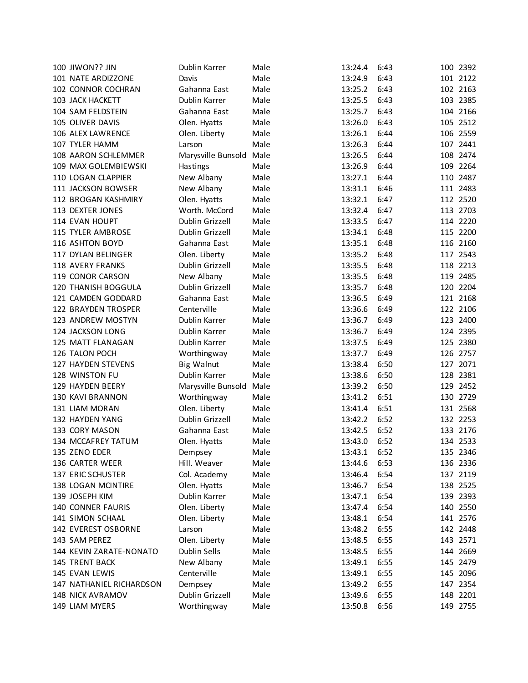| 100 JIWON?? JIN           | Dublin Karrer      | Male | 13:24.4 | 6:43 | 100 2392 |
|---------------------------|--------------------|------|---------|------|----------|
| 101 NATE ARDIZZONE        | Davis              | Male | 13:24.9 | 6:43 | 101 2122 |
| 102 CONNOR COCHRAN        | Gahanna East       | Male | 13:25.2 | 6:43 | 102 2163 |
| 103 JACK HACKETT          | Dublin Karrer      | Male | 13:25.5 | 6:43 | 103 2385 |
| 104 SAM FELDSTEIN         | Gahanna East       | Male | 13:25.7 | 6:43 | 104 2166 |
| 105 OLIVER DAVIS          | Olen. Hyatts       | Male | 13:26.0 | 6:43 | 105 2512 |
| 106 ALEX LAWRENCE         | Olen. Liberty      | Male | 13:26.1 | 6:44 | 106 2559 |
| 107 TYLER HAMM            | Larson             | Male | 13:26.3 | 6:44 | 107 2441 |
| 108 AARON SCHLEMMER       | Marysville Bunsold | Male | 13:26.5 | 6:44 | 108 2474 |
| 109 MAX GOLEMBIEWSKI      | Hastings           | Male | 13:26.9 | 6:44 | 109 2264 |
| 110 LOGAN CLAPPIER        | New Albany         | Male | 13:27.1 | 6:44 | 110 2487 |
| 111 JACKSON BOWSER        | New Albany         | Male | 13:31.1 | 6:46 | 111 2483 |
| 112 BROGAN KASHMIRY       | Olen. Hyatts       | Male | 13:32.1 | 6:47 | 112 2520 |
| 113 DEXTER JONES          | Worth. McCord      | Male | 13:32.4 | 6:47 | 113 2703 |
| 114 EVAN HOUPT            | Dublin Grizzell    | Male | 13:33.5 | 6:47 | 114 2220 |
| 115 TYLER AMBROSE         | Dublin Grizzell    | Male | 13:34.1 | 6:48 | 115 2200 |
| 116 ASHTON BOYD           | Gahanna East       | Male | 13:35.1 | 6:48 | 116 2160 |
| 117 DYLAN BELINGER        | Olen. Liberty      | Male | 13:35.2 | 6:48 | 117 2543 |
| 118 AVERY FRANKS          | Dublin Grizzell    | Male | 13:35.5 | 6:48 | 118 2213 |
| 119 CONOR CARSON          | New Albany         | Male | 13:35.5 | 6:48 | 119 2485 |
| 120 THANISH BOGGULA       | Dublin Grizzell    | Male | 13:35.7 | 6:48 | 120 2204 |
| 121 CAMDEN GODDARD        | Gahanna East       | Male | 13:36.5 | 6:49 | 121 2168 |
| 122 BRAYDEN TROSPER       | Centerville        | Male | 13:36.6 | 6:49 | 122 2106 |
| 123 ANDREW MOSTYN         | Dublin Karrer      | Male | 13:36.7 | 6:49 | 123 2400 |
| 124 JACKSON LONG          | Dublin Karrer      | Male | 13:36.7 | 6:49 | 124 2395 |
| 125 MATT FLANAGAN         | Dublin Karrer      | Male | 13:37.5 | 6:49 | 125 2380 |
| 126 TALON POCH            | Worthingway        | Male | 13:37.7 | 6:49 | 126 2757 |
| 127 HAYDEN STEVENS        | <b>Big Walnut</b>  | Male | 13:38.4 | 6:50 | 127 2071 |
| 128 WINSTON FU            | Dublin Karrer      | Male | 13:38.6 | 6:50 | 128 2381 |
| 129 HAYDEN BEERY          | Marysville Bunsold | Male | 13:39.2 | 6:50 | 129 2452 |
| <b>130 KAVI BRANNON</b>   | Worthingway        | Male | 13:41.2 | 6:51 | 130 2729 |
| 131 LIAM MORAN            | Olen. Liberty      | Male | 13:41.4 | 6:51 | 131 2568 |
| 132 HAYDEN YANG           | Dublin Grizzell    | Male | 13:42.2 | 6:52 | 132 2253 |
| 133 CORY MASON            | Gahanna East       | Male | 13:42.5 | 6:52 | 133 2176 |
| 134 MCCAFREY TATUM        | Olen. Hyatts       | Male | 13:43.0 | 6:52 | 134 2533 |
| 135 ZENO EDER             | Dempsey            | Male | 13:43.1 | 6:52 | 135 2346 |
| 136 CARTER WEER           | Hill. Weaver       | Male | 13:44.6 | 6:53 | 136 2336 |
| 137 ERIC SCHUSTER         | Col. Academy       | Male | 13:46.4 | 6:54 | 137 2119 |
| <b>138 LOGAN MCINTIRE</b> | Olen. Hyatts       | Male | 13:46.7 | 6:54 | 138 2525 |
| 139 JOSEPH KIM            | Dublin Karrer      | Male | 13:47.1 | 6:54 | 139 2393 |
| 140 CONNER FAURIS         | Olen. Liberty      | Male | 13:47.4 | 6:54 | 140 2550 |
| 141 SIMON SCHAAL          | Olen. Liberty      | Male | 13:48.1 | 6:54 | 141 2576 |
| 142 EVEREST OSBORNE       | Larson             | Male | 13:48.2 | 6:55 | 142 2448 |
| 143 SAM PEREZ             | Olen. Liberty      | Male | 13:48.5 | 6:55 | 143 2571 |
| 144 KEVIN ZARATE-NONATO   | Dublin Sells       | Male | 13:48.5 | 6:55 | 144 2669 |
| 145 TRENT BACK            | New Albany         | Male | 13:49.1 | 6:55 | 145 2479 |
| 145 EVAN LEWIS            | Centerville        | Male | 13:49.1 | 6:55 | 145 2096 |
| 147 NATHANIEL RICHARDSON  | Dempsey            | Male | 13:49.2 | 6:55 | 147 2354 |
| 148 NICK AVRAMOV          | Dublin Grizzell    | Male | 13:49.6 | 6:55 | 148 2201 |
| 149 LIAM MYERS            | Worthingway        | Male | 13:50.8 | 6:56 | 149 2755 |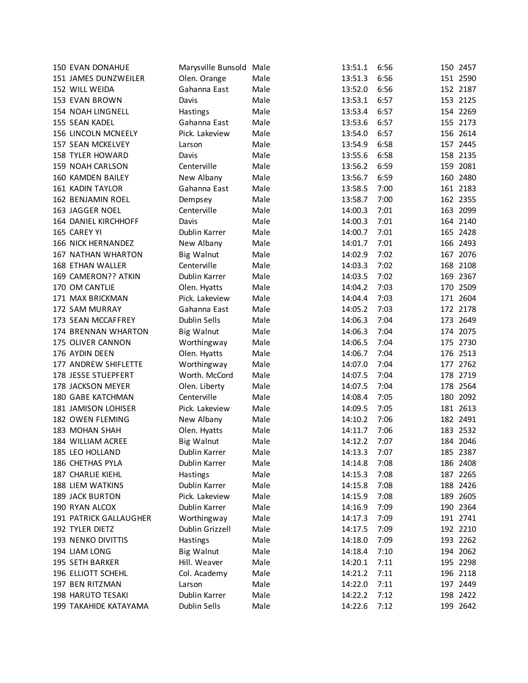| <b>150 EVAN DONAHUE</b>  | Marysville Bunsold Male |      | 13:51.1 | 6:56 |     | 150 2457 |
|--------------------------|-------------------------|------|---------|------|-----|----------|
| 151 JAMES DUNZWEILER     | Olen. Orange            | Male | 13:51.3 | 6:56 |     | 151 2590 |
| 152 WILL WEIDA           | Gahanna East            | Male | 13:52.0 | 6:56 |     | 152 2187 |
| 153 EVAN BROWN           | Davis                   | Male | 13:53.1 | 6:57 |     | 153 2125 |
| <b>154 NOAH LINGNELL</b> | Hastings                | Male | 13:53.4 | 6:57 |     | 154 2269 |
| 155 SEAN KADEL           | Gahanna East            | Male | 13:53.6 | 6:57 |     | 155 2173 |
| 156 LINCOLN MCNEELY      | Pick. Lakeview          | Male | 13:54.0 | 6:57 |     | 156 2614 |
| 157 SEAN MCKELVEY        | Larson                  | Male | 13:54.9 | 6:58 |     | 157 2445 |
| 158 TYLER HOWARD         | Davis                   | Male | 13:55.6 | 6:58 |     | 158 2135 |
| 159 NOAH CARLSON         | Centerville             | Male | 13:56.2 | 6:59 | 159 | 2081     |
| 160 KAMDEN BAILEY        | New Albany              | Male | 13:56.7 | 6:59 |     | 160 2480 |
| <b>161 KADIN TAYLOR</b>  | Gahanna East            | Male | 13:58.5 | 7:00 |     | 161 2183 |
| 162 BENJAMIN ROEL        | Dempsey                 | Male | 13:58.7 | 7:00 |     | 162 2355 |
| 163 JAGGER NOEL          | Centerville             | Male | 14:00.3 | 7:01 |     | 163 2099 |
| 164 DANIEL KIRCHHOFF     | Davis                   | Male | 14:00.3 | 7:01 |     | 164 2140 |
| 165 CAREY YI             | Dublin Karrer           | Male | 14:00.7 | 7:01 |     | 165 2428 |
| 166 NICK HERNANDEZ       | New Albany              | Male | 14:01.7 | 7:01 |     | 166 2493 |
| 167 NATHAN WHARTON       | <b>Big Walnut</b>       | Male | 14:02.9 | 7:02 |     | 167 2076 |
| 168 ETHAN WALLER         | Centerville             | Male | 14:03.3 | 7:02 |     | 168 2108 |
| 169 CAMERON?? ATKIN      | Dublin Karrer           | Male | 14:03.5 | 7:02 |     | 169 2367 |
| 170 OM CANTLIE           | Olen. Hyatts            | Male | 14:04.2 | 7:03 |     | 170 2509 |
| 171 MAX BRICKMAN         | Pick. Lakeview          | Male | 14:04.4 | 7:03 |     | 171 2604 |
| 172 SAM MURRAY           | Gahanna East            | Male | 14:05.2 | 7:03 |     | 172 2178 |
| 173 SEAN MCCAFFREY       | Dublin Sells            | Male | 14:06.3 | 7:04 |     | 173 2649 |
| 174 BRENNAN WHARTON      | <b>Big Walnut</b>       | Male | 14:06.3 | 7:04 | 174 | 2075     |
| 175 OLIVER CANNON        | Worthingway             | Male | 14:06.5 | 7:04 | 175 | 2730     |
| 176 AYDIN DEEN           | Olen. Hyatts            | Male | 14:06.7 | 7:04 |     | 176 2513 |
| 177 ANDREW SHIFLETTE     | Worthingway             | Male | 14:07.0 | 7:04 |     | 177 2762 |
| 178 JESSE STUEPFERT      | Worth. McCord           | Male | 14:07.5 | 7:04 |     | 178 2719 |
| 178 JACKSON MEYER        | Olen. Liberty           | Male | 14:07.5 | 7:04 |     | 178 2564 |
| 180 GABE KATCHMAN        | Centerville             | Male | 14:08.4 | 7:05 |     | 180 2092 |
| 181 JAMISON LOHISER      | Pick. Lakeview          | Male | 14:09.5 | 7:05 |     | 181 2613 |
| 182 OWEN FLEMING         | New Albany              | Male | 14:10.2 | 7:06 |     | 182 2491 |
| 183 MOHAN SHAH           | Olen. Hyatts            | Male | 14:11.7 | 7:06 |     | 183 2532 |
| 184 WILLIAM ACREE        | <b>Big Walnut</b>       | Male | 14:12.2 | 7:07 |     | 184 2046 |
| 185 LEO HOLLAND          | Dublin Karrer           | Male | 14:13.3 | 7:07 |     | 185 2387 |
| 186 CHETHAS PYLA         | Dublin Karrer           | Male | 14:14.8 | 7:08 |     | 186 2408 |
| 187 CHARLIE KIEHL        | Hastings                | Male | 14:15.3 | 7:08 |     | 187 2265 |
| <b>188 LIEM WATKINS</b>  | Dublin Karrer           | Male | 14:15.8 | 7:08 |     | 188 2426 |
| <b>189 JACK BURTON</b>   | Pick. Lakeview          | Male | 14:15.9 | 7:08 |     | 189 2605 |
| 190 RYAN ALCOX           | Dublin Karrer           | Male | 14:16.9 | 7:09 |     | 190 2364 |
| 191 PATRICK GALLAUGHER   | Worthingway             | Male | 14:17.3 | 7:09 |     | 191 2741 |
| 192 TYLER DIETZ          | Dublin Grizzell         | Male | 14:17.5 | 7:09 |     | 192 2210 |
| 193 NENKO DIVITTIS       | Hastings                | Male | 14:18.0 | 7:09 |     | 193 2262 |
| 194 LIAM LONG            | <b>Big Walnut</b>       | Male | 14:18.4 | 7:10 |     | 194 2062 |
| <b>195 SETH BARKER</b>   | Hill. Weaver            | Male | 14:20.1 | 7:11 |     | 195 2298 |
| 196 ELLIOTT SCHEHL       | Col. Academy            | Male | 14:21.2 | 7:11 |     | 196 2118 |
| 197 BEN RITZMAN          | Larson                  | Male | 14:22.0 | 7:11 |     | 197 2449 |
| 198 HARUTO TESAKI        | Dublin Karrer           | Male | 14:22.2 | 7:12 |     | 198 2422 |
| 199 TAKAHIDE KATAYAMA    | Dublin Sells            | Male | 14:22.6 | 7:12 |     | 199 2642 |
|                          |                         |      |         |      |     |          |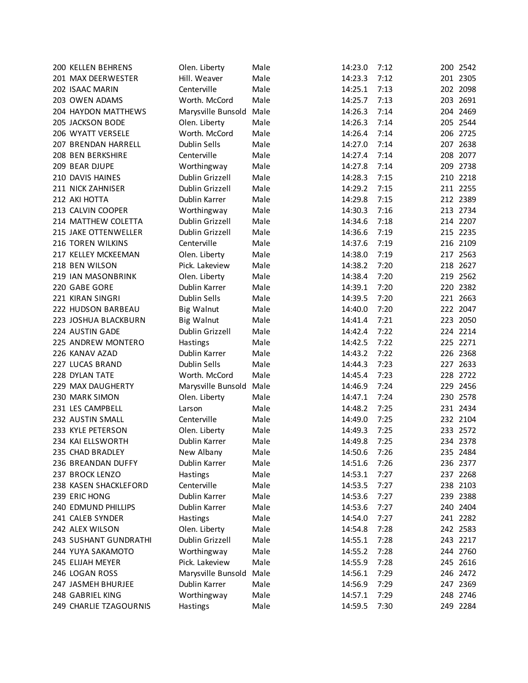| <b>200 KELLEN BEHRENS</b> | Olen. Liberty      | Male | 14:23.0 | 7:12 | 200 2542             |
|---------------------------|--------------------|------|---------|------|----------------------|
| 201 MAX DEERWESTER        | Hill. Weaver       | Male | 14:23.3 | 7:12 | 201 2305             |
| 202 ISAAC MARIN           | Centerville        | Male | 14:25.1 | 7:13 | 202 2098             |
| 203 OWEN ADAMS            | Worth. McCord      | Male | 14:25.7 | 7:13 | 203 2691             |
| 204 HAYDON MATTHEWS       | Marysville Bunsold | Male | 14:26.3 | 7:14 | 204 2469             |
| 205 JACKSON BODE          | Olen. Liberty      | Male | 14:26.3 | 7:14 | 205 2544             |
| 206 WYATT VERSELE         | Worth. McCord      | Male | 14:26.4 | 7:14 | 206 2725             |
| 207 BRENDAN HARRELL       | Dublin Sells       | Male | 14:27.0 | 7:14 | 207 2638             |
| 208 BEN BERKSHIRE         | Centerville        | Male | 14:27.4 | 7:14 | 208 2077             |
| 209 BEAR DJUPE            | Worthingway        | Male | 14:27.8 | 7:14 | 209 2738             |
| 210 DAVIS HAINES          | Dublin Grizzell    | Male | 14:28.3 | 7:15 | 210 2218             |
| 211 NICK ZAHNISER         | Dublin Grizzell    | Male | 14:29.2 | 7:15 | 211 2255             |
| 212 AKI HOTTA             | Dublin Karrer      | Male | 14:29.8 | 7:15 | 212 2389             |
| 213 CALVIN COOPER         | Worthingway        | Male | 14:30.3 | 7:16 | 213 2734             |
| 214 MATTHEW COLETTA       | Dublin Grizzell    | Male | 14:34.6 | 7:18 | 214 2207             |
| 215 JAKE OTTENWELLER      | Dublin Grizzell    | Male | 14:36.6 | 7:19 | 215 2235             |
| 216 TOREN WILKINS         | Centerville        | Male | 14:37.6 | 7:19 | 216 2109             |
| 217 KELLEY MCKEEMAN       | Olen. Liberty      | Male | 14:38.0 | 7:19 | 217 2563             |
| 218 BEN WILSON            | Pick. Lakeview     | Male | 14:38.2 | 7:20 | 218 2627             |
| 219 IAN MASONBRINK        | Olen. Liberty      | Male | 14:38.4 | 7:20 | 219 2562             |
| 220 GABE GORE             | Dublin Karrer      | Male | 14:39.1 | 7:20 | 220 2382             |
| 221 KIRAN SINGRI          | Dublin Sells       | Male | 14:39.5 | 7:20 | 221 2663             |
| 222 HUDSON BARBEAU        | <b>Big Walnut</b>  | Male | 14:40.0 | 7:20 | 222 2047             |
| 223 JOSHUA BLACKBURN      | <b>Big Walnut</b>  | Male | 14:41.4 | 7:21 | 223 2050             |
| 224 AUSTIN GADE           | Dublin Grizzell    | Male | 14:42.4 | 7:22 | 224 2214             |
| 225 ANDREW MONTERO        | Hastings           | Male | 14:42.5 | 7:22 | 225 2271             |
| 226 KANAV AZAD            | Dublin Karrer      | Male | 14:43.2 | 7:22 | 226 2368             |
| 227 LUCAS BRAND           | Dublin Sells       | Male | 14:44.3 | 7:23 | 227 2633             |
| 228 DYLAN TATE            | Worth. McCord      | Male | 14:45.4 | 7:23 | 228 2722             |
| 229 MAX DAUGHERTY         | Marysville Bunsold | Male | 14:46.9 | 7:24 | 229 2456             |
| 230 MARK SIMON            |                    | Male | 14:47.1 | 7:24 | 230 2578             |
| 231 LES CAMPBELL          | Olen. Liberty      | Male |         |      |                      |
|                           | Larson             |      | 14:48.2 | 7:25 | 231 2434<br>232 2104 |
| 232 AUSTIN SMALL          | Centerville        | Male | 14:49.0 | 7:25 |                      |
| 233 KYLE PETERSON         | Olen. Liberty      | Male | 14:49.3 | 7:25 | 233 2572             |
| 234 KAI ELLSWORTH         | Dublin Karrer      | Male | 14:49.8 | 7:25 | 234 2378             |
| 235 CHAD BRADLEY          | New Albany         | Male | 14:50.6 | 7:26 | 235 2484             |
| 236 BREANDAN DUFFY        | Dublin Karrer      | Male | 14:51.6 | 7:26 | 236 2377             |
| 237 BROCK LENZO           | <b>Hastings</b>    | Male | 14:53.1 | 7:27 | 237 2268             |
| 238 KASEN SHACKLEFORD     | Centerville        | Male | 14:53.5 | 7:27 | 238 2103             |
| 239 ERIC HONG             | Dublin Karrer      | Male | 14:53.6 | 7:27 | 239 2388             |
| 240 EDMUND PHILLIPS       | Dublin Karrer      | Male | 14:53.6 | 7:27 | 240 2404             |
| 241 CALEB SYNDER          | Hastings           | Male | 14:54.0 | 7:27 | 241 2282             |
| 242 ALEX WILSON           | Olen. Liberty      | Male | 14:54.8 | 7:28 | 242 2583             |
| 243 SUSHANT GUNDRATHI     | Dublin Grizzell    | Male | 14:55.1 | 7:28 | 243 2217             |
| 244 YUYA SAKAMOTO         | Worthingway        | Male | 14:55.2 | 7:28 | 244 2760             |
| 245 ELIJAH MEYER          | Pick. Lakeview     | Male | 14:55.9 | 7:28 | 245 2616             |
| 246 LOGAN ROSS            | Marysville Bunsold | Male | 14:56.1 | 7:29 | 246 2472             |
| 247 JASMEH BHURJEE        | Dublin Karrer      | Male | 14:56.9 | 7:29 | 247 2369             |
| 248 GABRIEL KING          | Worthingway        | Male | 14:57.1 | 7:29 | 248 2746             |
| 249 CHARLIE TZAGOURNIS    | <b>Hastings</b>    | Male | 14:59.5 | 7:30 | 249 2284             |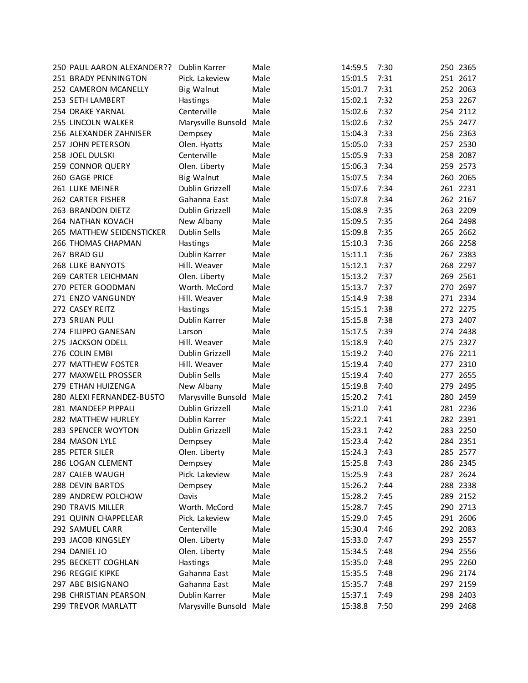| 250 PAUL AARON ALEXANDER?? | Dublin Karrer           | Male | 14:59.5 | 7:30 | 250 2365 |
|----------------------------|-------------------------|------|---------|------|----------|
| 251 BRADY PENNINGTON       | Pick. Lakeview          | Male | 15:01.5 | 7:31 | 251 2617 |
| 252 CAMERON MCANELLY       | <b>Big Walnut</b>       | Male | 15:01.7 | 7:31 | 252 2063 |
| 253 SETH LAMBERT           | Hastings                | Male | 15:02.1 | 7:32 | 253 2267 |
| 254 DRAKE YARNAL           | Centerville             | Male | 15:02.6 | 7:32 | 254 2112 |
| 255 LINCOLN WALKER         | Marysville Bunsold      | Male | 15:02.6 | 7:32 | 255 2477 |
| 256 ALEXANDER ZAHNISER     | Dempsey                 | Male | 15:04.3 | 7:33 | 256 2363 |
| 257 JOHN PETERSON          | Olen. Hyatts            | Male | 15:05.0 | 7:33 | 257 2530 |
| 258 JOEL DULSKI            | Centerville             | Male | 15:05.9 | 7:33 | 258 2087 |
| 259 CONNOR QUERY           | Olen. Liberty           | Male | 15:06.3 | 7:34 | 259 2573 |
| 260 GAGE PRICE             | <b>Big Walnut</b>       | Male | 15:07.5 | 7:34 | 260 2065 |
| 261 LUKE MEINER            | Dublin Grizzell         | Male | 15:07.6 | 7:34 | 261 2231 |
| 262 CARTER FISHER          | Gahanna East            | Male | 15:07.8 | 7:34 | 262 2167 |
| 263 BRANDON DIETZ          | Dublin Grizzell         | Male | 15:08.9 | 7:35 | 263 2209 |
| 264 NATHAN KOVACH          | New Albany              | Male | 15:09.5 | 7:35 | 264 2498 |
| 265 MATTHEW SEIDENSTICKER  | Dublin Sells            | Male | 15:09.8 | 7:35 | 265 2662 |
| 266 THOMAS CHAPMAN         | <b>Hastings</b>         | Male | 15:10.3 | 7:36 | 266 2258 |
| 267 BRAD GU                | Dublin Karrer           | Male | 15:11.1 | 7:36 | 267 2383 |
| <b>268 LUKE BANYOTS</b>    | Hill. Weaver            | Male | 15:12.1 | 7:37 | 268 2297 |
| 269 CARTER LEICHMAN        | Olen. Liberty           | Male | 15:13.2 | 7:37 | 269 2561 |
| 270 PETER GOODMAN          | Worth. McCord           | Male | 15:13.7 | 7:37 | 270 2697 |
| 271 ENZO VANGUNDY          | Hill. Weaver            | Male | 15:14.9 | 7:38 | 271 2334 |
| 272 CASEY REITZ            | Hastings                | Male | 15:15.1 | 7:38 | 272 2275 |
| 273 SRIJAN PULI            | Dublin Karrer           | Male | 15:15.8 | 7:38 | 273 2407 |
| 274 FILIPPO GANESAN        | Larson                  | Male | 15:17.5 | 7:39 | 274 2438 |
| 275 JACKSON ODELL          | Hill. Weaver            | Male | 15:18.9 | 7:40 | 275 2327 |
| 276 COLIN EMBI             | Dublin Grizzell         | Male | 15:19.2 | 7:40 | 276 2211 |
| 277 MATTHEW FOSTER         | Hill. Weaver            | Male | 15:19.4 | 7:40 | 277 2310 |
| 277 MAXWELL PROSSER        | Dublin Sells            | Male | 15:19.4 | 7:40 | 277 2655 |
| 279 ETHAN HUIZENGA         | New Albany              | Male | 15:19.8 | 7:40 | 279 2495 |
| 280 ALEXI FERNANDEZ-BUSTO  | Marysville Bunsold      | Male | 15:20.2 | 7:41 | 280 2459 |
| 281 MANDEEP PIPPALI        | Dublin Grizzell         | Male | 15:21.0 | 7:41 | 281 2236 |
| 282 MATTHEW HURLEY         | Dublin Karrer           | Male | 15:22.1 | 7:41 | 282 2391 |
| 283 SPENCER WOYTON         | Dublin Grizzell         | Male | 15:23.1 | 7:42 | 283 2250 |
| 284 MASON LYLE             | Dempsey                 | Male | 15:23.4 | 7:42 | 284 2351 |
| 285 PETER SILER            | Olen. Liberty           | Male | 15:24.3 | 7:43 | 285 2577 |
| 286 LOGAN CLEMENT          | Dempsey                 | Male | 15:25.8 | 7:43 | 286 2345 |
| 287 CALEB WAUGH            | Pick. Lakeview          | Male | 15:25.9 | 7:43 | 287 2624 |
| 288 DEVIN BARTOS           | Dempsey                 | Male | 15:26.2 | 7:44 | 288 2338 |
| 289 ANDREW POLCHOW         | Davis                   | Male | 15:28.2 | 7:45 | 289 2152 |
| 290 TRAVIS MILLER          | Worth. McCord           | Male | 15:28.7 | 7:45 | 290 2713 |
| 291 QUINN CHAPPELEAR       | Pick. Lakeview          | Male | 15:29.0 | 7:45 | 291 2606 |
| 292 SAMUEL CARR            | Centerville             | Male | 15:30.4 | 7:46 | 292 2083 |
| 293 JACOB KINGSLEY         | Olen. Liberty           | Male | 15:33.0 | 7:47 | 293 2557 |
| 294 DANIEL JO              | Olen. Liberty           | Male | 15:34.5 | 7:48 | 294 2556 |
| 295 BECKETT COGHLAN        | Hastings                | Male | 15:35.0 | 7:48 | 295 2260 |
| 296 REGGIE KIPKE           | Gahanna East            | Male | 15:35.5 | 7:48 | 296 2174 |
| 297 ABE BISIGNANO          | Gahanna East            | Male | 15:35.7 | 7:48 | 297 2159 |
| 298 CHRISTIAN PEARSON      | Dublin Karrer           | Male | 15:37.1 | 7:49 | 298 2403 |
| 299 TREVOR MARLATT         | Marysville Bunsold Male |      | 15:38.8 | 7:50 | 299 2468 |
|                            |                         |      |         |      |          |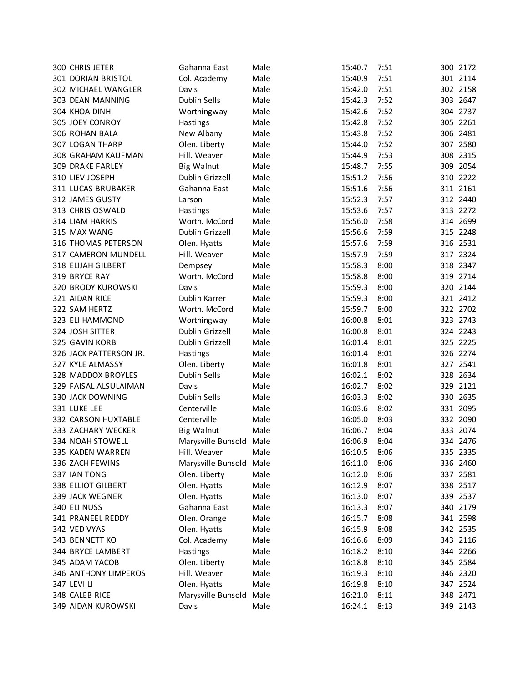|             | 300 CHRIS JETER        | Gahanna East            | Male | 15:40.7 | 7:51 |     | 300 2172 |
|-------------|------------------------|-------------------------|------|---------|------|-----|----------|
|             | 301 DORIAN BRISTOL     | Col. Academy            | Male | 15:40.9 | 7:51 |     | 301 2114 |
|             | 302 MICHAEL WANGLER    | Davis                   | Male | 15:42.0 | 7:51 |     | 302 2158 |
|             | 303 DEAN MANNING       | Dublin Sells            | Male | 15:42.3 | 7:52 |     | 303 2647 |
|             | 304 KHOA DINH          | Worthingway             | Male | 15:42.6 | 7:52 |     | 304 2737 |
|             | 305 JOEY CONROY        | Hastings                | Male | 15:42.8 | 7:52 |     | 305 2261 |
|             | 306 ROHAN BALA         | New Albany              | Male | 15:43.8 | 7:52 |     | 306 2481 |
|             | 307 LOGAN THARP        | Olen. Liberty           | Male | 15:44.0 | 7:52 |     | 307 2580 |
|             | 308 GRAHAM KAUFMAN     | Hill. Weaver            | Male | 15:44.9 | 7:53 |     | 308 2315 |
|             | 309 DRAKE FARLEY       | <b>Big Walnut</b>       | Male | 15:48.7 | 7:55 | 309 | 2054     |
|             | 310 LIEV JOSEPH        | Dublin Grizzell         | Male | 15:51.2 | 7:56 |     | 310 2222 |
|             | 311 LUCAS BRUBAKER     | Gahanna East            | Male | 15:51.6 | 7:56 |     | 311 2161 |
|             | 312 JAMES GUSTY        | Larson                  | Male | 15:52.3 | 7:57 |     | 312 2440 |
|             | 313 CHRIS OSWALD       | Hastings                | Male | 15:53.6 | 7:57 |     | 313 2272 |
|             | 314 LIAM HARRIS        | Worth. McCord           | Male | 15:56.0 | 7:58 |     | 314 2699 |
|             | 315 MAX WANG           | Dublin Grizzell         | Male | 15:56.6 | 7:59 |     | 315 2248 |
|             | 316 THOMAS PETERSON    | Olen. Hyatts            | Male | 15:57.6 | 7:59 |     | 316 2531 |
|             | 317 CAMERON MUNDELL    | Hill. Weaver            | Male | 15:57.9 | 7:59 |     | 317 2324 |
|             | 318 ELIJAH GILBERT     | Dempsey                 | Male | 15:58.3 | 8:00 |     | 318 2347 |
|             | 319 BRYCE RAY          | Worth. McCord           | Male | 15:58.8 | 8:00 |     | 319 2714 |
|             | 320 BRODY KUROWSKI     | Davis                   | Male | 15:59.3 | 8:00 |     | 320 2144 |
|             | 321 AIDAN RICE         | Dublin Karrer           | Male | 15:59.3 | 8:00 |     | 321 2412 |
|             | 322 SAM HERTZ          | Worth. McCord           | Male | 15:59.7 | 8:00 |     | 322 2702 |
|             | 323 ELI HAMMOND        | Worthingway             | Male | 16:00.8 | 8:01 |     | 323 2743 |
|             | 324 JOSH SITTER        | Dublin Grizzell         | Male | 16:00.8 | 8:01 |     | 324 2243 |
|             | 325 GAVIN KORB         | Dublin Grizzell         | Male | 16:01.4 | 8:01 |     | 325 2225 |
|             | 326 JACK PATTERSON JR. | Hastings                | Male | 16:01.4 | 8:01 |     | 326 2274 |
|             | 327 KYLE ALMASSY       | Olen. Liberty           | Male | 16:01.8 | 8:01 |     | 327 2541 |
|             | 328 MADDOX BROYLES     | Dublin Sells            | Male | 16:02.1 | 8:02 |     | 328 2634 |
|             | 329 FAISAL ALSULAIMAN  | Davis                   | Male | 16:02.7 | 8:02 |     | 329 2121 |
|             | 330 JACK DOWNING       | Dublin Sells            | Male | 16:03.3 | 8:02 |     | 330 2635 |
|             | 331 LUKE LEE           | Centerville             | Male | 16:03.6 | 8:02 |     | 331 2095 |
|             | 332 CARSON HUXTABLE    | Centerville             | Male | 16:05.0 | 8:03 |     | 332 2090 |
|             | 333 ZACHARY WECKER     | <b>Big Walnut</b>       | Male | 16:06.7 | 8:04 |     | 333 2074 |
|             | 334 NOAH STOWELL       | Marysville Bunsold Male |      | 16:06.9 | 8:04 |     | 334 2476 |
|             | 335 KADEN WARREN       | Hill. Weaver            | Male | 16:10.5 | 8:06 |     | 335 2335 |
|             | 336 ZACH FEWINS        | Marysville Bunsold      | Male | 16:11.0 | 8:06 |     | 336 2460 |
|             | 337 IAN TONG           | Olen. Liberty           | Male | 16:12.0 | 8:06 |     | 337 2581 |
|             | 338 ELLIOT GILBERT     | Olen. Hyatts            | Male | 16:12.9 | 8:07 |     | 338 2517 |
|             | 339 JACK WEGNER        | Olen. Hyatts            | Male | 16:13.0 | 8:07 |     | 339 2537 |
|             | 340 ELI NUSS           | Gahanna East            | Male | 16:13.3 | 8:07 |     | 340 2179 |
|             | 341 PRANEEL REDDY      | Olen. Orange            | Male | 16:15.7 | 8:08 |     | 341 2598 |
|             | 342 VED VYAS           | Olen. Hyatts            | Male | 16:15.9 | 8:08 |     | 342 2535 |
|             | 343 BENNETT KO         | Col. Academy            | Male | 16:16.6 | 8:09 |     | 343 2116 |
|             | 344 BRYCE LAMBERT      | Hastings                | Male | 16:18.2 | 8:10 |     | 344 2266 |
|             | 345 ADAM YACOB         | Olen. Liberty           | Male | 16:18.8 | 8:10 |     | 345 2584 |
|             | 346 ANTHONY LIMPEROS   | Hill. Weaver            | Male | 16:19.3 | 8:10 |     | 346 2320 |
| 347 LEVI LI |                        | Olen. Hyatts            | Male | 16:19.8 | 8:10 |     | 347 2524 |
|             | 348 CALEB RICE         | Marysville Bunsold      | Male | 16:21.0 | 8:11 |     | 348 2471 |
|             | 349 AIDAN KUROWSKI     | Davis                   | Male | 16:24.1 | 8:13 |     | 349 2143 |
|             |                        |                         |      |         |      |     |          |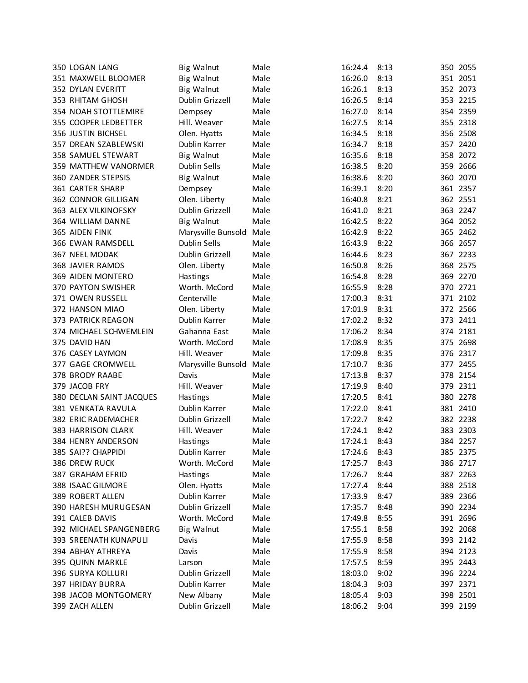| 350 LOGAN LANG            | <b>Big Walnut</b>                | Male         | 16:24.4 | 8:13 |     | 350 2055 |
|---------------------------|----------------------------------|--------------|---------|------|-----|----------|
| 351 MAXWELL BLOOMER       | <b>Big Walnut</b>                | Male         | 16:26.0 | 8:13 |     | 351 2051 |
| 352 DYLAN EVERITT         | <b>Big Walnut</b>                | Male         | 16:26.1 | 8:13 |     | 352 2073 |
| 353 RHITAM GHOSH          | Dublin Grizzell                  | Male         | 16:26.5 | 8:14 |     | 353 2215 |
| 354 NOAH STOTTLEMIRE      | Dempsey                          | Male         | 16:27.0 | 8:14 |     | 354 2359 |
| 355 COOPER LEDBETTER      | Hill. Weaver                     | Male         | 16:27.5 | 8:14 |     | 355 2318 |
| 356 JUSTIN BICHSEL        | Olen. Hyatts                     | Male         | 16:34.5 | 8:18 |     | 356 2508 |
| 357 DREAN SZABLEWSKI      | Dublin Karrer                    | Male         | 16:34.7 | 8:18 |     | 357 2420 |
| 358 SAMUEL STEWART        | <b>Big Walnut</b>                | Male         | 16:35.6 | 8:18 | 358 | 2072     |
| 359 MATTHEW VANORMER      | Dublin Sells                     | Male         | 16:38.5 | 8:20 | 359 | 2666     |
| <b>360 ZANDER STEPSIS</b> | <b>Big Walnut</b>                | Male         | 16:38.6 | 8:20 | 360 | 2070     |
| 361 CARTER SHARP          | Dempsey                          | Male         | 16:39.1 | 8:20 |     | 361 2357 |
| 362 CONNOR GILLIGAN       | Olen. Liberty                    | Male         | 16:40.8 | 8:21 |     | 362 2551 |
| 363 ALEX VILKINOFSKY      | Dublin Grizzell                  | Male         | 16:41.0 | 8:21 |     | 363 2247 |
| 364 WILLIAM DANNE         | <b>Big Walnut</b>                | Male         | 16:42.5 | 8:22 |     | 364 2052 |
| 365 AIDEN FINK            | Marysville Bunsold               | Male         | 16:42.9 | 8:22 |     | 365 2462 |
| 366 EWAN RAMSDELL         | Dublin Sells                     | Male         | 16:43.9 | 8:22 |     | 366 2657 |
| 367 NEEL MODAK            | Dublin Grizzell                  | Male         | 16:44.6 | 8:23 |     | 367 2233 |
| <b>368 JAVIER RAMOS</b>   | Olen. Liberty                    | Male         | 16:50.8 | 8:26 |     | 368 2575 |
| 369 AIDEN MONTERO         | Hastings                         | Male         | 16:54.8 | 8:28 |     | 369 2270 |
| 370 PAYTON SWISHER        | Worth. McCord                    | Male         | 16:55.9 | 8:28 |     | 370 2721 |
| 371 OWEN RUSSELL          | Centerville                      | Male         | 17:00.3 | 8:31 |     | 371 2102 |
| 372 HANSON MIAO           | Olen. Liberty                    | Male         | 17:01.9 | 8:31 |     | 372 2566 |
| 373 PATRICK REAGON        | Dublin Karrer                    | Male         | 17:02.2 | 8:32 |     | 373 2411 |
| 374 MICHAEL SCHWEMLEIN    | Gahanna East                     | Male         | 17:06.2 | 8:34 |     | 374 2181 |
| 375 DAVID HAN             | Worth. McCord                    | Male         | 17:08.9 | 8:35 |     | 375 2698 |
| 376 CASEY LAYMON          | Hill. Weaver                     | Male         | 17:09.8 | 8:35 |     | 376 2317 |
| 377 GAGE CROMWELL         | Marysville Bunsold               | Male         | 17:10.7 | 8:36 |     | 377 2455 |
| 378 BRODY RAABE           | Davis                            | Male         | 17:13.8 | 8:37 |     | 378 2154 |
| 379 JACOB FRY             | Hill. Weaver                     | Male         | 17:19.9 | 8:40 | 379 | 2311     |
| 380 DECLAN SAINT JACQUES  |                                  | Male         | 17:20.5 | 8:41 |     | 380 2278 |
| 381 VENKATA RAVULA        | <b>Hastings</b><br>Dublin Karrer | Male         | 17:22.0 | 8:41 |     | 381 2410 |
| 382 ERIC RADEMACHER       | Dublin Grizzell                  | Male         | 17:22.7 | 8:42 |     | 382 2238 |
| 383 HARRISON CLARK        | Hill. Weaver                     | Male         | 17:24.1 | 8:42 |     | 383 2303 |
| 384 HENRY ANDERSON        |                                  |              | 17:24.1 | 8:43 |     | 384 2257 |
|                           | <b>Hastings</b><br>Dublin Karrer | Male<br>Male |         |      |     |          |
| 385 SAI?? CHAPPIDI        |                                  |              | 17:24.6 | 8:43 |     | 385 2375 |
| 386 DREW RUCK             | Worth. McCord                    | Male         | 17:25.7 | 8:43 |     | 386 2717 |
| 387 GRAHAM EFRID          | Hastings                         | Male         | 17:26.7 | 8:44 |     | 387 2263 |
| 388 ISAAC GILMORE         | Olen. Hyatts                     | Male         | 17:27.4 | 8:44 |     | 388 2518 |
| 389 ROBERT ALLEN          | Dublin Karrer                    | Male         | 17:33.9 | 8:47 |     | 389 2366 |
| 390 HARESH MURUGESAN      | Dublin Grizzell                  | Male         | 17:35.7 | 8:48 |     | 390 2234 |
| 391 CALEB DAVIS           | Worth. McCord                    | Male         | 17:49.8 | 8:55 |     | 391 2696 |
| 392 MICHAEL SPANGENBERG   | <b>Big Walnut</b>                | Male         | 17:55.1 | 8:58 |     | 392 2068 |
| 393 SREENATH KUNAPULI     | Davis                            | Male         | 17:55.9 | 8:58 |     | 393 2142 |
| 394 ABHAY ATHREYA         | Davis                            | Male         | 17:55.9 | 8:58 |     | 394 2123 |
| 395 QUINN MARKLE          | Larson                           | Male         | 17:57.5 | 8:59 |     | 395 2443 |
| 396 SURYA KOLLURI         | Dublin Grizzell                  | Male         | 18:03.0 | 9:02 |     | 396 2224 |
| 397 HRIDAY BURRA          | Dublin Karrer                    | Male         | 18:04.3 | 9:03 |     | 397 2371 |
| 398 JACOB MONTGOMERY      | New Albany                       | Male         | 18:05.4 | 9:03 |     | 398 2501 |
| 399 ZACH ALLEN            | Dublin Grizzell                  | Male         | 18:06.2 | 9:04 |     | 399 2199 |